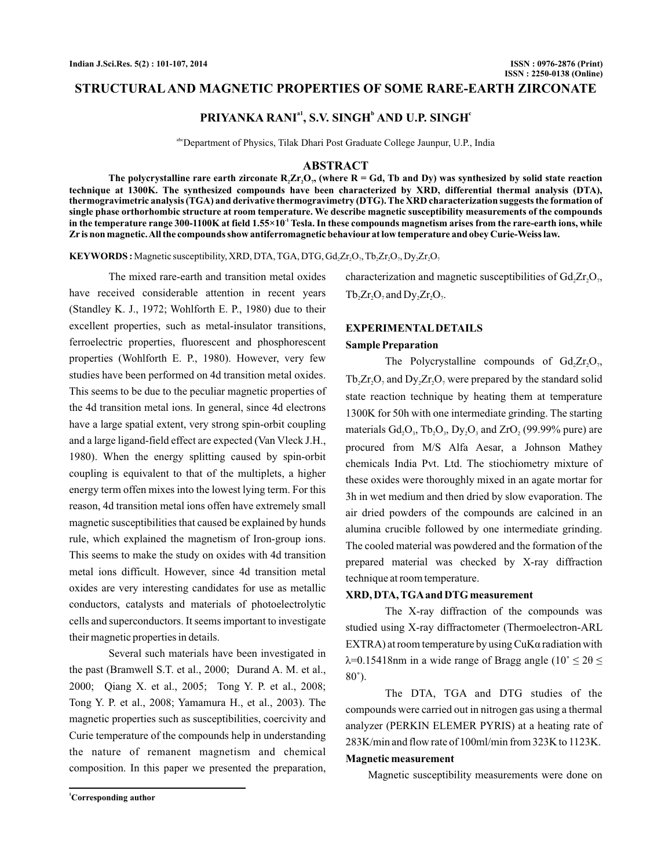### **STRUCTURAL AND MAGNETIC PROPERTIES OF SOME RARE-EARTH ZIRCONATE**

# **PRIYANKA RANI<sup>a1</sup>, S.V. SINGH<sup>b</sup> AND U.P. SINGH<sup>c</sup>**

abcDepartment of Physics, Tilak Dhari Post Graduate College Jaunpur, U.P., India

#### **ABSTRACT**

The polycrystalline rare earth zirconate  $R_2Zr_2O_\gamma$  (where  $R=$  Gd, Tb and Dy) was synthesized by solid state reaction **technique at 1300K. The synthesized compounds have been characterized by XRD, differential thermal analysis (DTA), thermogravimetric analysis (TGA) and derivative thermogravimetry (DTG). The XRD characterization suggests the formation of single phase orthorhombic structure at room temperature. We describe magnetic susceptibility measurements of the compounds** in the temperature range 300-1100K at field  $1.55\times10^1$  Tesla. In these compounds magnetism arises from the rare-earth ions, while **Zris non magnetic.All the compounds show antiferromagnetic behaviour at low temperature and obey Curie-Weiss law.**

**KEYWORDS :** Magnetic susceptibility, XRD, DTA, TGA, DTG, Gd<sub>2</sub>Zr<sub>2</sub>O<sub>7</sub>, Tb<sub>2</sub>Zr<sub>2</sub>O<sub>7</sub>, Dy<sub>2</sub>Zr<sub>2</sub>O<sub>7</sub>

The mixed rare-earth and transition metal oxides have received considerable attention in recent years (Standley K. J., 1972; Wohlforth E. P., 1980) due to their excellent properties, such as metal-insulator transitions, ferroelectric properties, fluorescent and phosphorescent properties (Wohlforth E. P., 1980). However, very few studies have been performed on 4d transition metal oxides. This seems to be due to the peculiar magnetic properties of the 4d transition metal ions. In general, since 4d electrons have a large spatial extent, very strong spin-orbit coupling and a large ligand-field effect are expected (Van Vleck J.H., . When the energy splitting caused by spin-orbit 1980) coupling is equivalent to that of the multiplets, a higher energy term offen mixes into the lowest lying term. For this reason, 4d transition metal ions offen have extremely small magnetic susceptibilities that caused be explained by hunds rule, which explained the magnetism of Iron-group ions. This seems to make the study on oxides with 4d transition metal ions difficult. However, since 4d transition metal oxides are very interesting candidates for use as metallic conductors, catalysts and materials of photoelectrolytic cells and superconductors. It seems important to investigate their magnetic properties in details.

Several such materials have been investigated in the past (Bramwell S.T. et al., 2000; Durand A. M. et al., Tong Y. P. et al., 2008; Yamamura H., et al., 2003). The magnetic properties such as susceptibilities, coercivity andCurie temperature of the compounds help in understanding the nature of remanent magnetism and chemical composition. In this paper we presented the preparation, 2000; Qiang X. et al., 2005; Tong Y. P. et al., 2008; characterization and magnetic susceptibilities of  $Gd_{2}Zr_{2}O_{7}$ ,

 $Tb_2Zr_2O_7$  and  $Dy_2Zr_2O_7$ .

# **EXPERIMENTALDETAILS**

#### **Sample Preparation**

The Polycrystalline compounds of  $Gd_2Zr_2O_7$ ,  $Tb_2Zr_2O_7$  and  $Dy_2Zr_2O_7$  were prepared by the standard solid state reaction technique by heating them at temperature 1300K for 50h with one intermediate grinding. The starting materials  $Gd_2O_3$ ,  $Tb_2O_3$ ,  $Dy_2O_3$  and  $ZrO_2$  (99.99% pure) are procured from M/S Alfa Aesar, a Johnson Mathey chemicals India Pvt. Ltd. The stiochiometry mixture of these oxides were thoroughly mixed in an agate mortar for 3h in wet medium and then dried by slow evaporation. The air dried powders of the compounds are calcined in an alumina crucible followed by one intermediate grinding. The cooled material was powdered and the formation of the prepared material was checked by X-ray diffraction technique at room temperature.

### **XRD, DTA,TGAand DTG measurement**

The X-ray diffraction of the compounds was studied using X-ray diffractometer (Thermoelectron-A RL 80˚). EXTRA) at room temperature by using CuKα radiation with λ=0.15418nm in a wide range of Bragg angle ( $10^{\circ} \le 2\theta \le$ 

The DTA, TGA and DTG studies of the compounds were carried out in nitrogen gas using a thermal analyzer (PERKIN ELEMER PYRIS) at a heating rate of 283K/min and flow rate of 100ml/min from 323K to 1123K.

### **Magnetic measurement**

Magnetic susceptibility measurements were done on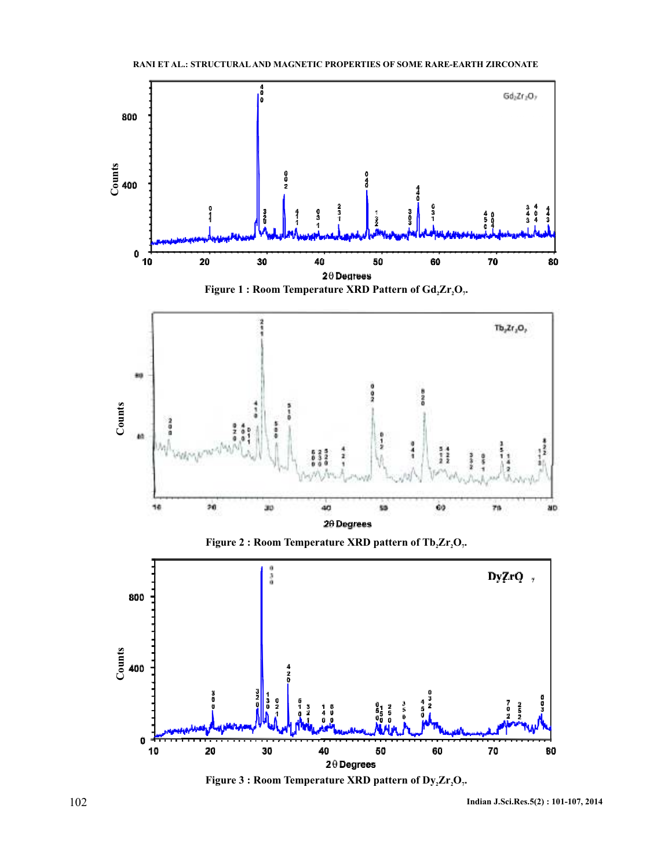

**Figure 3 : Room Temperature XRD pattern of**  $Dy_2Zr_2O_r$ **.** 

102 **Indian J.Sci.Res.5(2) : 101-107, 2014**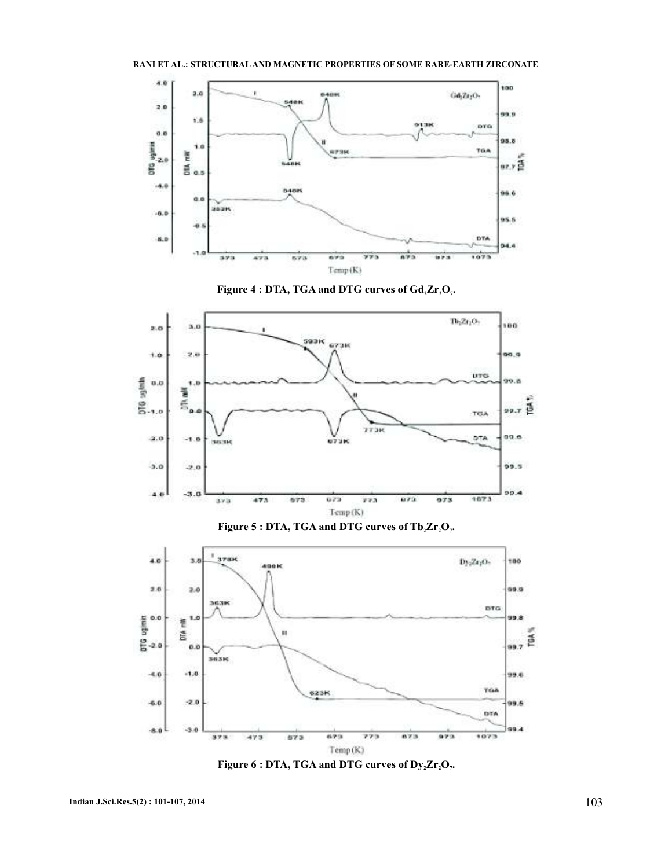









**Figure 6: DTA, TGA and DTG curves of**  $Dy_2Zr_2O_r$ **.**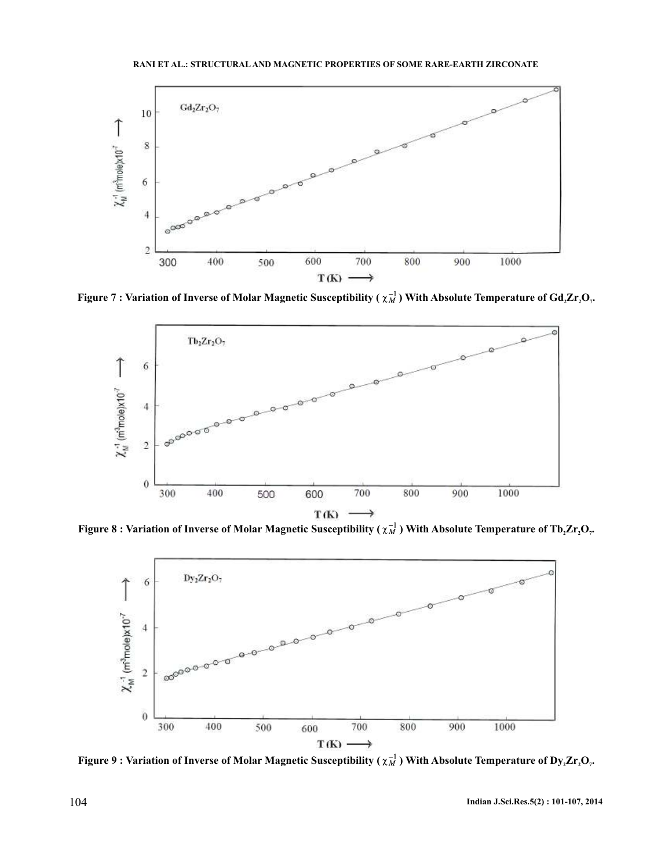

**Figure 7** : Variation of Inverse of Molar Magnetic Susceptibility ( $\chi_M^{-1}$ ) With Absolute Temperature of Gd<sub>2</sub>Zr<sub>2</sub>O<sub>7</sub>.



**Figure 8: Variation of Inverse of Molar Magnetic Susceptibility (** $\chi_M^{-1}$ **) With Absolute Temperature of Tb<sub>2</sub>Zr<sub>2</sub>O<sub>7</sub>.** 



**Figure 9: Variation of Inverse of Molar Magnetic Susceptibility (** $\chi_M^{-1}$ **) With Absolute Temperature of Dy<sub>2</sub>Zr<sub>2</sub>O<sub>7</sub>.**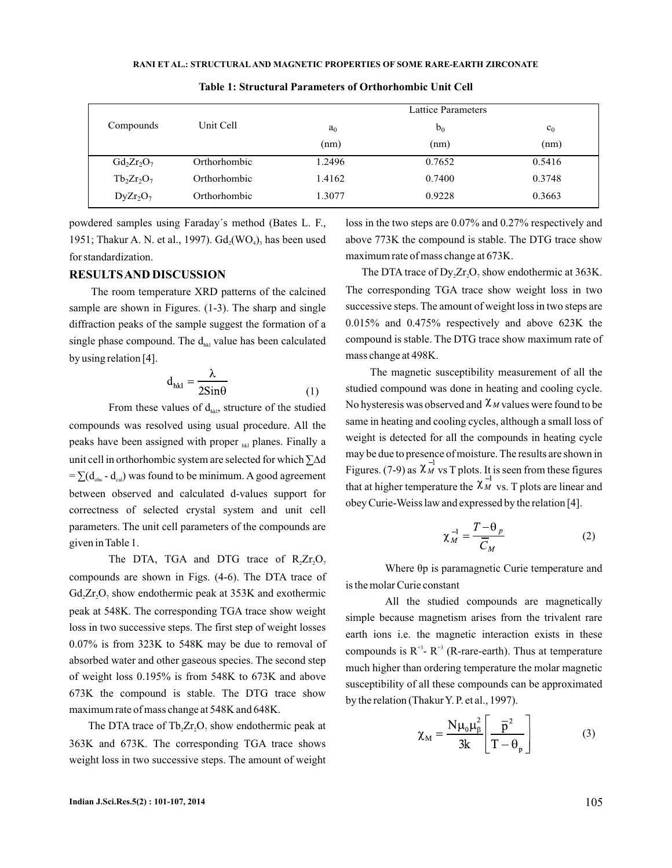#### **RANI ET AL.: STRUCTURAL AND MAGNETIC PROPERTIES OF SOME RARE-EARTH ZIRCONATE**

|               |              | <b>Lattice Parameters</b> |        |                |
|---------------|--------------|---------------------------|--------|----------------|
| Compounds     | Unit Cell    | a <sub>0</sub>            | $b_0$  | c <sub>0</sub> |
|               |              | (nm)                      | (nm)   | (nm)           |
| $Gd_2Zr_2O_7$ | Orthorhombic | 1.2496                    | 0.7652 | 0.5416         |
| $Tb_2Zr_2O_7$ | Orthorhombic | 1.4162                    | 0.7400 | 0.3748         |
| $DyZr_2O_7$   | Orthorhombic | 1.3077                    | 0.9228 | 0.3663         |

**Table 1: Structural Parameters of Orthorhombic Unit Cell**

powdered samples using Faraday´s method (Bates L. F., 1951; Thakur A. N. et al., 1997).  $Gd_2(WO_4)$ , has been used for standardization.

## **RESULTSAND DISCUSSION**

The room temperature XRD patterns of the calcined sample are shown in Figures. (1-3). The sharp and single diffraction peaks of the sample suggest the formation of a single phase compound. The  $d_{\scriptscriptstyle{hkl}}$  value has been calculated by using relation [4].

$$
d_{hkl} = \frac{\lambda}{2Sin\theta}
$$
 (1)

From these values of  $d_{nk}$ , structure of the studied compounds was resolved using usual procedure. All the peaks have been assigned with proper <sub>hkl</sub> planes. Finally a unit cell in orthorhombic system are selected for which ∑∆d  $= \sum (d_{obs} - d_{cal})$  was found to be minimum. A good agreement between observed and calculated d-values support for correctness of selected crystal system and unit cell parameters. The unit cell parameters of the compounds are given in Table 1.

The DTA, TGA and DTG trace of  $R_2Zr_2O_7$ compounds are shown in Figs. (4-6). The DTA trace of  $Gd_2Zr_2O_7$  show endothermic peak at 353K and exothermic peak at 548K. The corresponding TGA trace show weight loss in two successive steps. The first step of weight losses 0.07% is from 323K to 548K may be due to removal of absorbed water and other gaseous species. The second step of weight loss 0.195% is from 548K to 673K and above 673K the compound is stable. The DTG trace show maximum rate of mass change at 548K and 648K.

The DTA trace of  $Tb_2Zr_2O_7$  show endothermic peak at 363K and 673K. The corresponding TGA trace shows weight loss in two successive steps. The amount of weight loss in the two steps are 0.07% and 0.27% respectively and above 773K the compound is stable. The DTG trace show maximum rate of mass change at 673K.

The DTA trace of  $\text{Dy}_2\text{Zr}_2\text{O}_7$  show endothermic at 363K. The corresponding TGA trace show weight loss in two successive steps. The amount of weight loss in two steps are 0.015% and 0.475% respectively and above 623K the compound is stable. The DTG trace show maximum rate of mass change at 498K.

The magnetic susceptibility measurement of all the studied compound was done in heating and cooling cycle. No hysteresis was observed and  $\chi_M$  values were found to be same in heating and cooling cycles, although a small loss of weight is detected for all the compounds in heating cycle may be due to presence of moisture. The results are shown in Figures. (7-9) as  $\chi_M$  vs T plots. It is seen from these figures that at higher temperature the  $\chi_M^{-1}$  vs. T plots are linear and obey Curie-Weiss law and expressed by the relation [4].

$$
\chi_M^{-1} = \frac{T - \theta_p}{\overline{C}_M} \tag{2}
$$

Where  $\theta$ p is paramagnetic Curie temperature and is the molar Curie constant

All the studied compounds are magnetically simple because magnetism arises from the trivalent rare earth ions i.e. the magnetic interaction exists in these compounds is  $R^{+3}$  -  $R^{+3}$  (R-rare-earth). Thus at temperature much higher than ordering temperature the molar magnetic susceptibility of all these compounds can be approximated by the relation (Thakur Y. P. et al., 1997).

$$
\chi_{\rm M} = \frac{N\mu_0\mu_\beta^2}{3k} \left[ \frac{\overline{p}^2}{T - \theta_p} \right]
$$
 (3)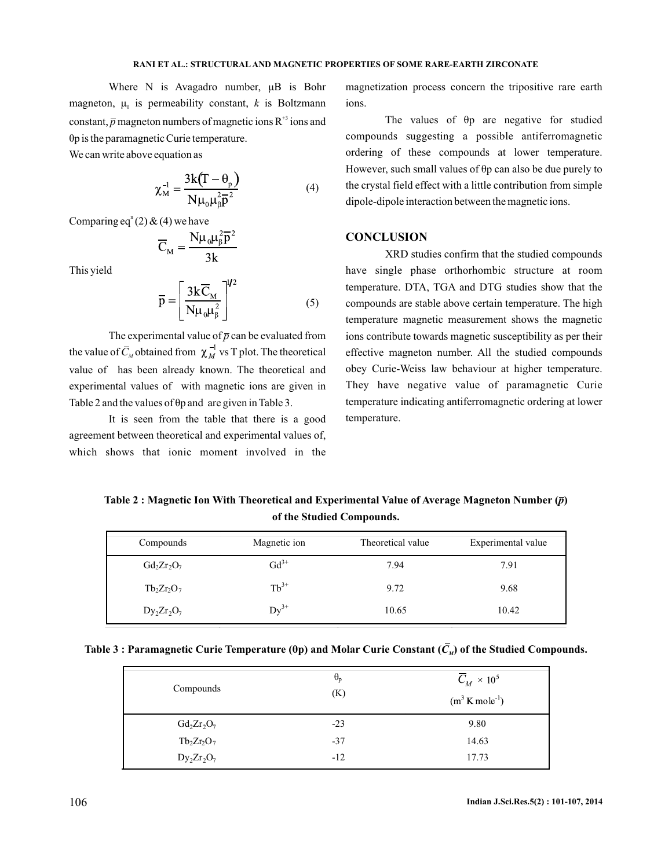Where N is Avagadro number,  $\mu$ B is Bohr magneton,  $\mu_0$  is permeability constant,  $k$  is Boltzmann constant,  $\bar{p}$  magneton numbers of magnetic ions R<sup>+3</sup> ions and p is the paramagnetic Curie temperature. θ

We can write above equation as

$$
\chi_{\mathbf{M}}^{-1} = \frac{3\mathbf{k}(\mathbf{T} - \boldsymbol{\theta}_{\mathbf{p}})}{\mathbf{N}\boldsymbol{\mu}_{0}\boldsymbol{\mu}_{\beta}^{2}\overline{\mathbf{p}}^{2}}
$$
(4)

Comparing eq<sup>n</sup>(2) & (4) we have

$$
\overline{C}_{M} = \frac{N\mu_{0}\mu_{\beta}^{2}\overline{p}^{2}}{3k}
$$

This yield

$$
\overline{p} = \left[\frac{3k\overline{C}_{\rm M}}{N\mu_0\mu_\beta^2}\right]^{1/2} \tag{5}
$$

The experimental value of  $\bar{p}$  can be evaluated from the value of  $C_M$  obtained from  $\chi_M^{-1}$  vs T plot. The theoretical value of has been already known. The theoretical and experimental values of with magnetic ions are given in Table 2 and the values of  $\theta p$  and are given in Table 3.

It is seen from the table that there is a good agreement between theoretical and experimental values of, which shows that ionic moment involved in the

magnetization process concern the tripositive rare earth ions.

The values of  $\theta$ p are negative for studied compounds suggesting a possible antiferromagnetic ordering of these compounds at lower temperature. However, such small values of  $\theta p$  can also be due purely to the crystal field effect with a little contribution from simple dipole-dipole interaction between the magnetic ions.

### **CONCLUSION**

XRD studies confirm that the studied compounds have single phase orthorhombic structure at room temperature. DTA, TGA and DTG studies show that the compounds are stable above certain temperature. The high temperature magnetic measurement shows the magnetic ions contribute towards magnetic susceptibility as per their effective magneton number. All the studied compounds obey Curie-Weiss law behaviour at higher temperature. They have negative value of paramagnetic Curie temperature indicating antiferromagnetic ordering at lower temperature.

Table 2 : Magnetic Ion With Theoretical and Experimental Value of Average Magneton Number ( $\overline{\rho}$ ) **of the Studied Compounds.**

| Compounds     | Magnetic ion | Theoretical value | Experimental value |
|---------------|--------------|-------------------|--------------------|
| $Gd_2Zr_2O_7$ | $Gd^{3+}$    | 7.94              | 7.91               |
| $Tb_2Zr_2O_7$ | $Tb^{3+}$    | 9.72              | 9.68               |
| $Dy_2Zr_2O_7$ | $Dy^{3+}$    | 10.65             | 10.42              |

|  | Table 3 : Paramagnetic Curie Temperature ( $\theta$ p) and Molar Curie Constant ( $C_{\mathcal{M}}$ ) of the Studied Compounds. |  |  |  |
|--|---------------------------------------------------------------------------------------------------------------------------------|--|--|--|
|--|---------------------------------------------------------------------------------------------------------------------------------|--|--|--|

| Compounds     | $\theta_{p}$<br>(K) | $\overline{C}_M \times 10^5$<br>$(m^3 K \text{ mole}^1)$ |
|---------------|---------------------|----------------------------------------------------------|
| $Gd_2Zr_2O_7$ | $-23$               | 9.80                                                     |
| $Tb_2Zr_2O_7$ | $-37$               | 14.63                                                    |
| $Dy_2Zr_2O_7$ | $-12$               | 17.73                                                    |